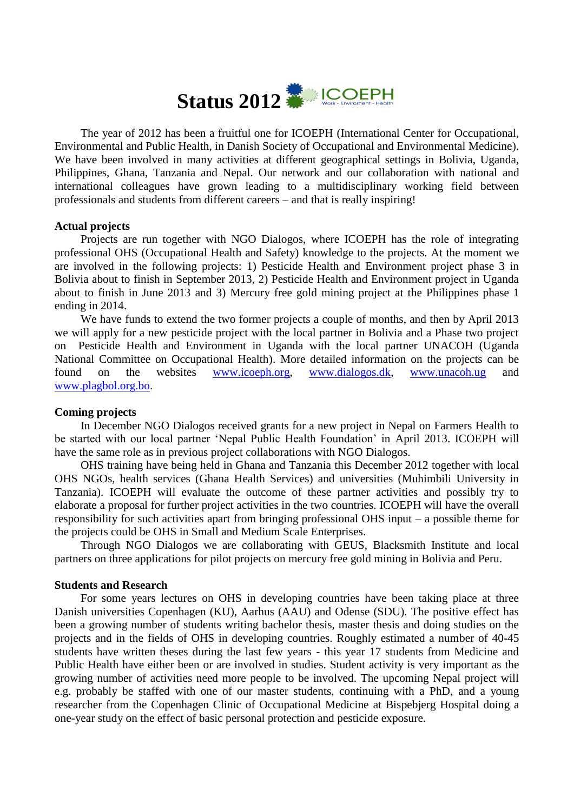

The year of 2012 has been a fruitful one for ICOEPH (International Center for Occupational, Environmental and Public Health, in Danish Society of Occupational and Environmental Medicine). We have been involved in many activities at different geographical settings in Bolivia, Uganda, Philippines, Ghana, Tanzania and Nepal. Our network and our collaboration with national and international colleagues have grown leading to a multidisciplinary working field between professionals and students from different careers – and that is really inspiring!

# **Actual projects**

Projects are run together with NGO Dialogos, where ICOEPH has the role of integrating professional OHS (Occupational Health and Safety) knowledge to the projects. At the moment we are involved in the following projects: 1) Pesticide Health and Environment project phase 3 in Bolivia about to finish in September 2013, 2) Pesticide Health and Environment project in Uganda about to finish in June 2013 and 3) Mercury free gold mining project at the Philippines phase 1 ending in 2014.

We have funds to extend the two former projects a couple of months, and then by April 2013 we will apply for a new pesticide project with the local partner in Bolivia and a Phase two project on Pesticide Health and Environment in Uganda with the local partner UNACOH (Uganda National Committee on Occupational Health). More detailed information on the projects can be found on the websites [www.icoeph.org,](http://www.icoeph.org/) [www.dialogos.dk,](http://www.dialogos.dk/) [www.unacoh.ug](http://www.unacoh.ug/) and [www.plagbol.org.bo.](http://www.plagbol.org.bo/)

### **Coming projects**

In December NGO Dialogos received grants for a new project in Nepal on Farmers Health to be started with our local partner 'Nepal Public Health Foundation' in April 2013. ICOEPH will have the same role as in previous project collaborations with NGO Dialogos.

OHS training have being held in Ghana and Tanzania this December 2012 together with local OHS NGOs, health services (Ghana Health Services) and universities (Muhimbili University in Tanzania). ICOEPH will evaluate the outcome of these partner activities and possibly try to elaborate a proposal for further project activities in the two countries. ICOEPH will have the overall responsibility for such activities apart from bringing professional OHS input – a possible theme for the projects could be OHS in Small and Medium Scale Enterprises.

Through NGO Dialogos we are collaborating with GEUS, Blacksmith Institute and local partners on three applications for pilot projects on mercury free gold mining in Bolivia and Peru.

### **Students and Research**

For some years lectures on OHS in developing countries have been taking place at three Danish universities Copenhagen (KU), Aarhus (AAU) and Odense (SDU). The positive effect has been a growing number of students writing bachelor thesis, master thesis and doing studies on the projects and in the fields of OHS in developing countries. Roughly estimated a number of 40-45 students have written theses during the last few years - this year 17 students from Medicine and Public Health have either been or are involved in studies. Student activity is very important as the growing number of activities need more people to be involved. The upcoming Nepal project will e.g. probably be staffed with one of our master students, continuing with a PhD, and a young researcher from the Copenhagen Clinic of Occupational Medicine at Bispebjerg Hospital doing a one-year study on the effect of basic personal protection and pesticide exposure.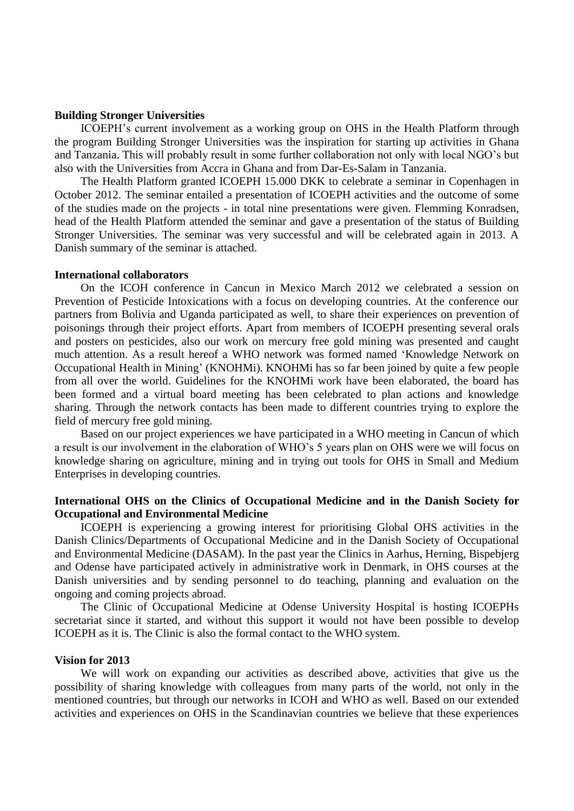### **Building Stronger Universities**

ICOEPH's current involvement as a working group on OHS in the Health Platform through the program Building Stronger Universities was the inspiration for starting up activities in Ghana and Tanzania. This will probably result in some further collaboration not only with local NGO's but also with the Universities from Accra in Ghana and from Dar-Es-Salam in Tanzania.

The Health Platform granted ICOEPH 15.000 DKK to celebrate a seminar in Copenhagen in October 2012. The seminar entailed a presentation of ICOEPH activities and the outcome of some of the studies made on the projects - in total nine presentations were given. Flemming Konradsen, head of the Health Platform attended the seminar and gave a presentation of the status of Building Stronger Universities. The seminar was very successful and will be celebrated again in 2013. A Danish summary of the seminar is attached.

#### **International collaborators**

On the ICOH conference in Cancun in Mexico March 2012 we celebrated a session on Prevention of Pesticide Intoxications with a focus on developing countries. At the conference our partners from Bolivia and Uganda participated as well, to share their experiences on prevention of poisonings through their project efforts. Apart from members of ICOEPH presenting several orals and posters on pesticides, also our work on mercury free gold mining was presented and caught much attention. As a result hereof a WHO network was formed named 'Knowledge Network on Occupational Health in Mining' (KNOHMi). KNOHMi has so far been joined by quite a few people from all over the world. Guidelines for the KNOHMi work have been elaborated, the board has been formed and a virtual board meeting has been celebrated to plan actions and knowledge sharing. Through the network contacts has been made to different countries trying to explore the field of mercury free gold mining.

Based on our project experiences we have participated in a WHO meeting in Cancun of which a result is our involvement in the elaboration of WHO's 5 years plan on OHS were we will focus on knowledge sharing on agriculture, mining and in trying out tools for OHS in Small and Medium Enterprises in developing countries.

## **International OHS on the Clinics of Occupational Medicine and in the Danish Society for Occupational and Environmental Medicine**

ICOEPH is experiencing a growing interest for prioritising Global OHS activities in the Danish Clinics/Departments of Occupational Medicine and in the Danish Society of Occupational and Environmental Medicine (DASAM). In the past year the Clinics in Aarhus, Herning, Bispebjerg and Odense have participated actively in administrative work in Denmark, in OHS courses at the Danish universities and by sending personnel to do teaching, planning and evaluation on the ongoing and coming projects abroad.

The Clinic of Occupational Medicine at Odense University Hospital is hosting ICOEPHs secretariat since it started, and without this support it would not have been possible to develop ICOEPH as it is. The Clinic is also the formal contact to the WHO system.

## **Vision for 2013**

We will work on expanding our activities as described above, activities that give us the possibility of sharing knowledge with colleagues from many parts of the world, not only in the mentioned countries, but through our networks in ICOH and WHO as well. Based on our extended activities and experiences on OHS in the Scandinavian countries we believe that these experiences